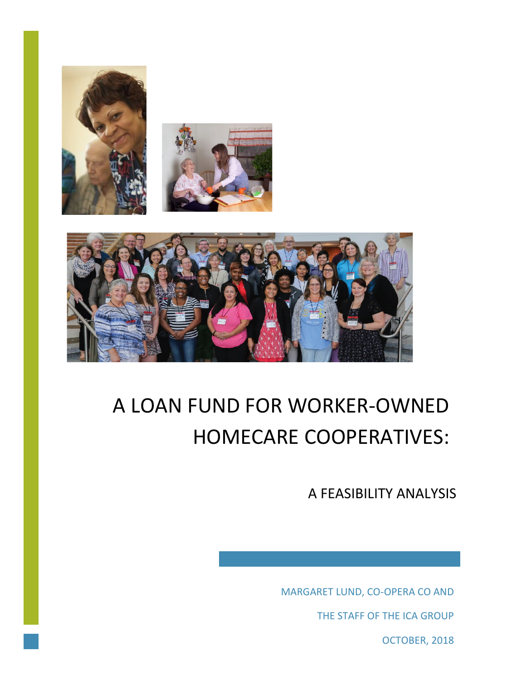



# A LOAN FUND FOR WORKER-OWNED HOMECARE COOPERATIVES:

A FEASIBILITY ANALYSIS

MARGARET LUND, CO-OPERA CO AND

THE STAFF OF THE ICA GROUP

OCTOBER, 2018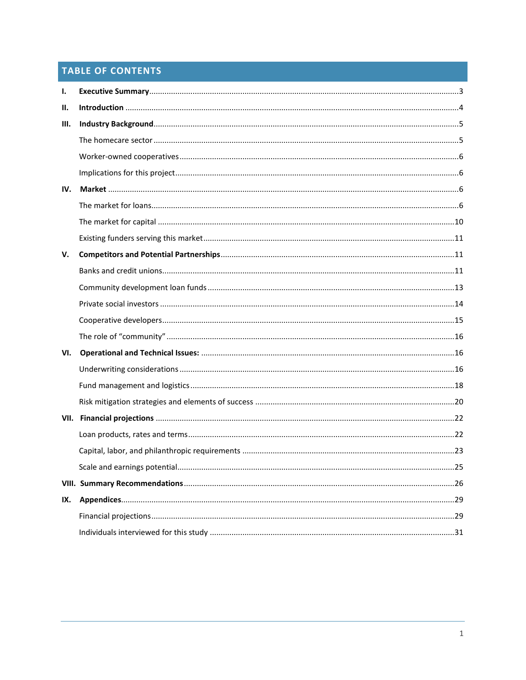# **TABLE OF CONTENTS**

| Ι.  |    |
|-----|----|
| П.  |    |
| Ш.  |    |
|     |    |
|     |    |
|     |    |
| IV. |    |
|     |    |
|     |    |
|     |    |
| V.  |    |
|     |    |
|     |    |
|     |    |
|     |    |
|     |    |
| VI. |    |
|     |    |
|     |    |
|     |    |
|     |    |
|     |    |
|     |    |
|     | 25 |
|     |    |
| IX. |    |
|     |    |
|     |    |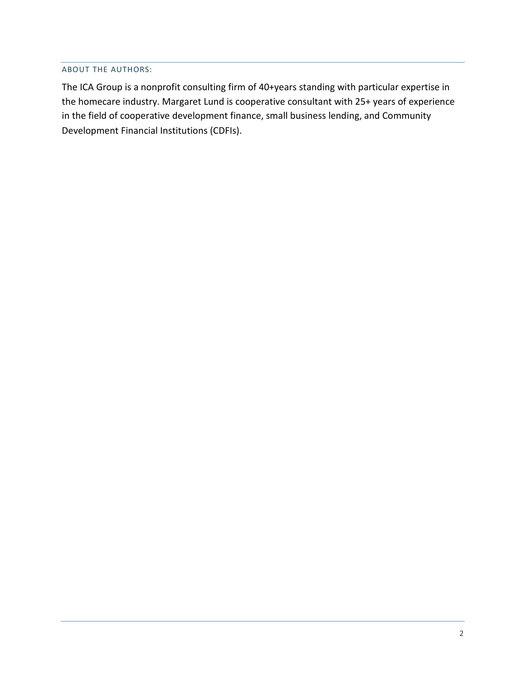#### ABOUT THE AUTHORS:

The ICA Group is a nonprofit consulting firm of 40+years standing with particular expertise in the homecare industry. Margaret Lund is cooperative consultant with 25+ years of experience in the field of cooperative development finance, small business lending, and Community Development Financial Institutions (CDFIs).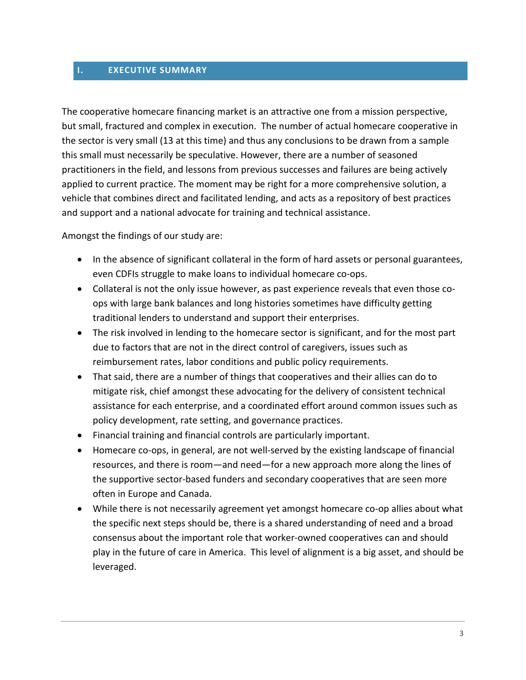#### <span id="page-3-0"></span>**I. EXECUTIVE SUMMARY**

The cooperative homecare financing market is an attractive one from a mission perspective, but small, fractured and complex in execution. The number of actual homecare cooperative in the sector is very small (13 at this time) and thus any conclusions to be drawn from a sample this small must necessarily be speculative. However, there are a number of seasoned practitioners in the field, and lessons from previous successes and failures are being actively applied to current practice. The moment may be right for a more comprehensive solution, a vehicle that combines direct and facilitated lending, and acts as a repository of best practices and support and a national advocate for training and technical assistance.

Amongst the findings of our study are:

- In the absence of significant collateral in the form of hard assets or personal guarantees, even CDFIs struggle to make loans to individual homecare co-ops.
- Collateral is not the only issue however, as past experience reveals that even those coops with large bank balances and long histories sometimes have difficulty getting traditional lenders to understand and support their enterprises.
- The risk involved in lending to the homecare sector is significant, and for the most part due to factors that are not in the direct control of caregivers, issues such as reimbursement rates, labor conditions and public policy requirements.
- That said, there are a number of things that cooperatives and their allies can do to mitigate risk, chief amongst these advocating for the delivery of consistent technical assistance for each enterprise, and a coordinated effort around common issues such as policy development, rate setting, and governance practices.
- Financial training and financial controls are particularly important.
- Homecare co-ops, in general, are not well-served by the existing landscape of financial resources, and there is room—and need—for a new approach more along the lines of the supportive sector-based funders and secondary cooperatives that are seen more often in Europe and Canada.
- While there is not necessarily agreement yet amongst homecare co-op allies about what the specific next steps should be, there is a shared understanding of need and a broad consensus about the important role that worker-owned cooperatives can and should play in the future of care in America. This level of alignment is a big asset, and should be leveraged.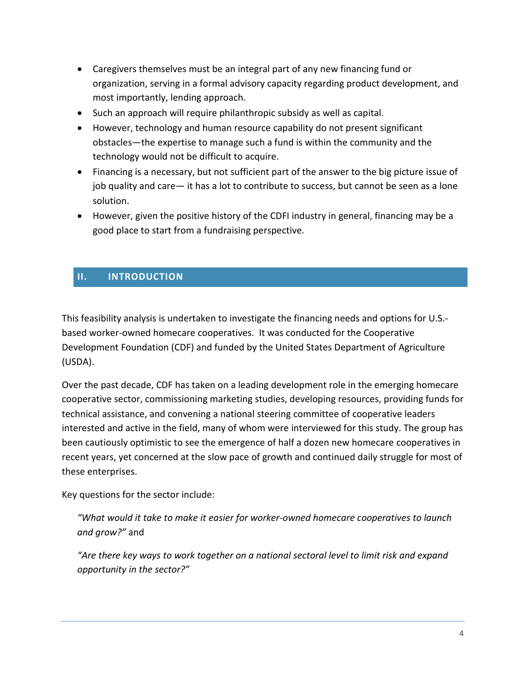- Caregivers themselves must be an integral part of any new financing fund or organization, serving in a formal advisory capacity regarding product development, and most importantly, lending approach.
- Such an approach will require philanthropic subsidy as well as capital.
- However, technology and human resource capability do not present significant obstacles—the expertise to manage such a fund is within the community and the technology would not be difficult to acquire.
- Financing is a necessary, but not sufficient part of the answer to the big picture issue of job quality and care— it has a lot to contribute to success, but cannot be seen as a lone solution.
- However, given the positive history of the CDFI industry in general, financing may be a good place to start from a fundraising perspective.

# <span id="page-4-0"></span>**II. INTRODUCTION**

This feasibility analysis is undertaken to investigate the financing needs and options for U.S. based worker-owned homecare cooperatives. It was conducted for the Cooperative Development Foundation (CDF) and funded by the United States Department of Agriculture (USDA).

Over the past decade, CDF has taken on a leading development role in the emerging homecare cooperative sector, commissioning marketing studies, developing resources, providing funds for technical assistance, and convening a national steering committee of cooperative leaders interested and active in the field, many of whom were interviewed for this study. The group has been cautiously optimistic to see the emergence of half a dozen new homecare cooperatives in recent years, yet concerned at the slow pace of growth and continued daily struggle for most of these enterprises.

Key questions for the sector include:

*"What would it take to make it easier for worker-owned homecare cooperatives to launch and grow?"* and

*"Are there key ways to work together on a national sectoral level to limit risk and expand opportunity in the sector?"*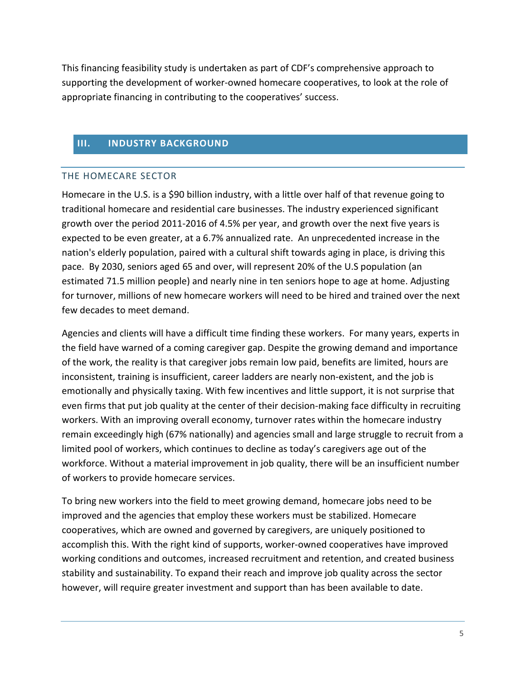This financing feasibility study is undertaken as part of CDF's comprehensive approach to supporting the development of worker-owned homecare cooperatives, to look at the role of appropriate financing in contributing to the cooperatives' success.

# <span id="page-5-0"></span>**III. INDUSTRY BACKGROUND**

#### <span id="page-5-1"></span>THE HOMECARE SECTOR

Homecare in the U.S. is a \$90 billion industry, with a little over half of that revenue going to traditional homecare and residential care businesses. The industry experienced significant growth over the period 2011-2016 of 4.5% per year, and growth over the next five years is expected to be even greater, at a 6.7% annualized rate. An unprecedented increase in the nation's elderly population, paired with a cultural shift towards aging in place, is driving this pace. By 2030, seniors aged 65 and over, will represent 20% of the U.S population (an estimated 71.5 million people) and nearly nine in ten seniors hope to age at home. Adjusting for turnover, millions of new homecare workers will need to be hired and trained over the next few decades to meet demand.

Agencies and clients will have a difficult time finding these workers. For many years, experts in the field have warned of a coming caregiver gap. Despite the growing demand and importance of the work, the reality is that caregiver jobs remain low paid, benefits are limited, hours are inconsistent, training is insufficient, career ladders are nearly non-existent, and the job is emotionally and physically taxing. With few incentives and little support, it is not surprise that even firms that put job quality at the center of their decision-making face difficulty in recruiting workers. With an improving overall economy, turnover rates within the homecare industry remain exceedingly high (67% nationally) and agencies small and large struggle to recruit from a limited pool of workers, which continues to decline as today's caregivers age out of the workforce. Without a material improvement in job quality, there will be an insufficient number of workers to provide homecare services.

To bring new workers into the field to meet growing demand, homecare jobs need to be improved and the agencies that employ these workers must be stabilized. Homecare cooperatives, which are owned and governed by caregivers, are uniquely positioned to accomplish this. With the right kind of supports, worker-owned cooperatives have improved working conditions and outcomes, increased recruitment and retention, and created business stability and sustainability. To expand their reach and improve job quality across the sector however, will require greater investment and support than has been available to date.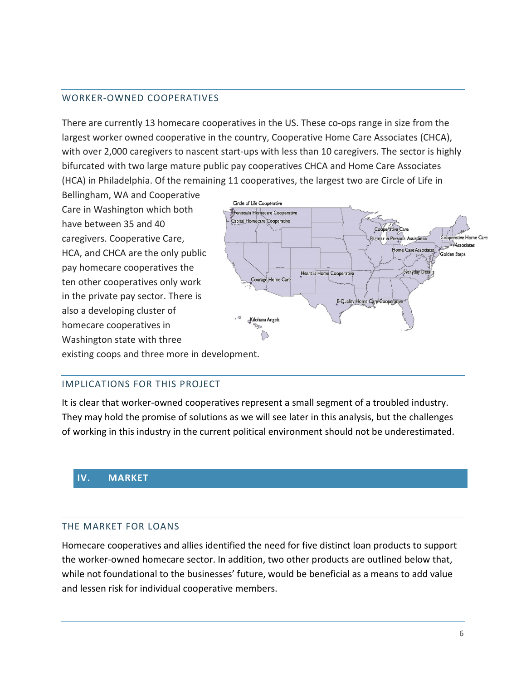#### <span id="page-6-0"></span>WORKER-OWNED COOPERATIVES

There are currently 13 homecare cooperatives in the US. These co-ops range in size from the largest worker owned cooperative in the country, Cooperative Home Care Associates (CHCA), with over 2,000 caregivers to nascent start-ups with less than 10 caregivers. The sector is highly bifurcated with two large mature public pay cooperatives CHCA and Home Care Associates (HCA) in Philadelphia. Of the remaining 11 cooperatives, the largest two are Circle of Life in

Bellingham, WA and Cooperative Care in Washington which both have between 35 and 40 caregivers. Cooperative Care, HCA, and CHCA are the only public pay homecare cooperatives the ten other cooperatives only work in the private pay sector. There is also a developing cluster of homecare cooperatives in Washington state with three



existing coops and three more in development.

#### <span id="page-6-1"></span>IMPLICATIONS FOR THIS PROJECT

It is clear that worker-owned cooperatives represent a small segment of a troubled industry. They may hold the promise of solutions as we will see later in this analysis, but the challenges of working in this industry in the current political environment should not be underestimated.

#### <span id="page-6-2"></span>**IV. MARKET**

#### <span id="page-6-3"></span>THE MARKET FOR LOANS

Homecare cooperatives and allies identified the need for five distinct loan products to support the worker-owned homecare sector. In addition, two other products are outlined below that, while not foundational to the businesses' future, would be beneficial as a means to add value and lessen risk for individual cooperative members.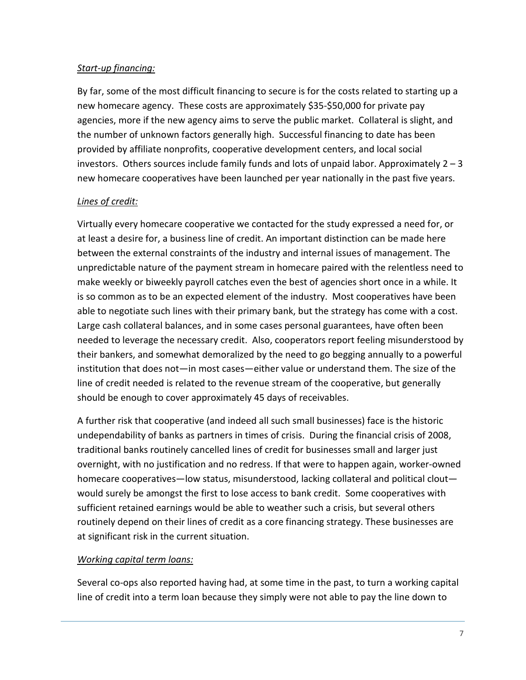## *Start-up financing:*

By far, some of the most difficult financing to secure is for the costs related to starting up a new homecare agency. These costs are approximately \$35-\$50,000 for private pay agencies, more if the new agency aims to serve the public market. Collateral is slight, and the number of unknown factors generally high. Successful financing to date has been provided by affiliate nonprofits, cooperative development centers, and local social investors. Others sources include family funds and lots of unpaid labor. Approximately  $2 - 3$ new homecare cooperatives have been launched per year nationally in the past five years.

# *Lines of credit:*

Virtually every homecare cooperative we contacted for the study expressed a need for, or at least a desire for, a business line of credit. An important distinction can be made here between the external constraints of the industry and internal issues of management. The unpredictable nature of the payment stream in homecare paired with the relentless need to make weekly or biweekly payroll catches even the best of agencies short once in a while. It is so common as to be an expected element of the industry. Most cooperatives have been able to negotiate such lines with their primary bank, but the strategy has come with a cost. Large cash collateral balances, and in some cases personal guarantees, have often been needed to leverage the necessary credit. Also, cooperators report feeling misunderstood by their bankers, and somewhat demoralized by the need to go begging annually to a powerful institution that does not—in most cases—either value or understand them. The size of the line of credit needed is related to the revenue stream of the cooperative, but generally should be enough to cover approximately 45 days of receivables.

A further risk that cooperative (and indeed all such small businesses) face is the historic undependability of banks as partners in times of crisis. During the financial crisis of 2008, traditional banks routinely cancelled lines of credit for businesses small and larger just overnight, with no justification and no redress. If that were to happen again, worker-owned homecare cooperatives—low status, misunderstood, lacking collateral and political clout would surely be amongst the first to lose access to bank credit. Some cooperatives with sufficient retained earnings would be able to weather such a crisis, but several others routinely depend on their lines of credit as a core financing strategy. These businesses are at significant risk in the current situation.

## *Working capital term loans:*

Several co-ops also reported having had, at some time in the past, to turn a working capital line of credit into a term loan because they simply were not able to pay the line down to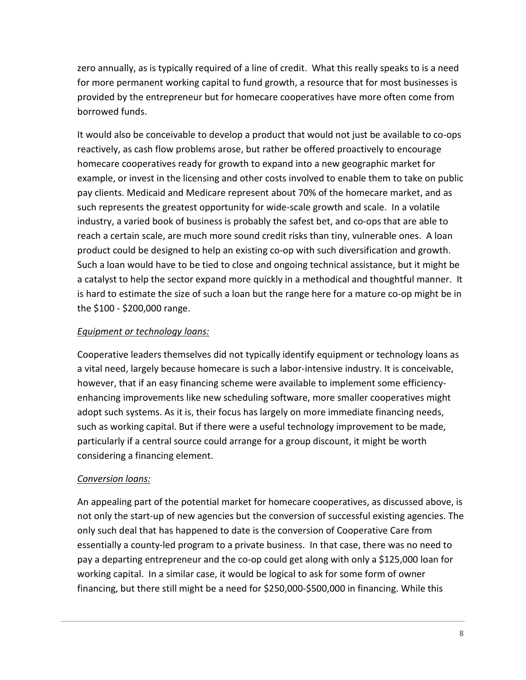zero annually, as is typically required of a line of credit. What this really speaks to is a need for more permanent working capital to fund growth, a resource that for most businesses is provided by the entrepreneur but for homecare cooperatives have more often come from borrowed funds.

It would also be conceivable to develop a product that would not just be available to co-ops reactively, as cash flow problems arose, but rather be offered proactively to encourage homecare cooperatives ready for growth to expand into a new geographic market for example, or invest in the licensing and other costs involved to enable them to take on public pay clients. Medicaid and Medicare represent about 70% of the homecare market, and as such represents the greatest opportunity for wide-scale growth and scale. In a volatile industry, a varied book of business is probably the safest bet, and co-ops that are able to reach a certain scale, are much more sound credit risks than tiny, vulnerable ones. A loan product could be designed to help an existing co-op with such diversification and growth. Such a loan would have to be tied to close and ongoing technical assistance, but it might be a catalyst to help the sector expand more quickly in a methodical and thoughtful manner. It is hard to estimate the size of such a loan but the range here for a mature co-op might be in the \$100 - \$200,000 range.

## *Equipment or technology loans:*

Cooperative leaders themselves did not typically identify equipment or technology loans as a vital need, largely because homecare is such a labor-intensive industry. It is conceivable, however, that if an easy financing scheme were available to implement some efficiencyenhancing improvements like new scheduling software, more smaller cooperatives might adopt such systems. As it is, their focus has largely on more immediate financing needs, such as working capital. But if there were a useful technology improvement to be made, particularly if a central source could arrange for a group discount, it might be worth considering a financing element.

# *Conversion loans:*

An appealing part of the potential market for homecare cooperatives, as discussed above, is not only the start-up of new agencies but the conversion of successful existing agencies. The only such deal that has happened to date is the conversion of Cooperative Care from essentially a county-led program to a private business. In that case, there was no need to pay a departing entrepreneur and the co-op could get along with only a \$125,000 loan for working capital. In a similar case, it would be logical to ask for some form of owner financing, but there still might be a need for \$250,000-\$500,000 in financing. While this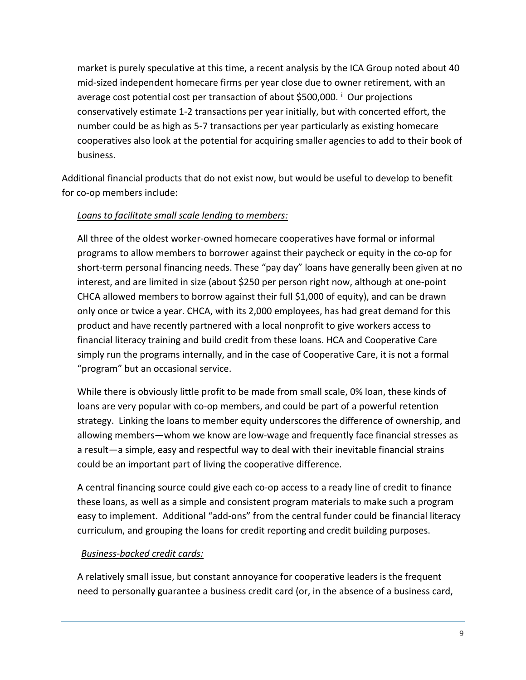market is purely speculative at this time, a recent analysis by the ICA Group noted about 40 mid-sized independent homecare firms per year close due to owner retirement, with an average cost potential cost per transaction of about \$500,000. [i](#page-31-1) Our projections conservatively estimate 1-2 transactions per year initially, but with concerted effort, the number could be as high as 5-7 transactions per year particularly as existing homecare cooperatives also look at the potential for acquiring smaller agencies to add to their book of business.

Additional financial products that do not exist now, but would be useful to develop to benefit for co-op members include:

## *Loans to facilitate small scale lending to members:*

All three of the oldest worker-owned homecare cooperatives have formal or informal programs to allow members to borrower against their paycheck or equity in the co-op for short-term personal financing needs. These "pay day" loans have generally been given at no interest, and are limited in size (about \$250 per person right now, although at one-point CHCA allowed members to borrow against their full \$1,000 of equity), and can be drawn only once or twice a year. CHCA, with its 2,000 employees, has had great demand for this product and have recently partnered with a local nonprofit to give workers access to financial literacy training and build credit from these loans. HCA and Cooperative Care simply run the programs internally, and in the case of Cooperative Care, it is not a formal "program" but an occasional service.

While there is obviously little profit to be made from small scale, 0% loan, these kinds of loans are very popular with co-op members, and could be part of a powerful retention strategy. Linking the loans to member equity underscores the difference of ownership, and allowing members—whom we know are low-wage and frequently face financial stresses as a result—a simple, easy and respectful way to deal with their inevitable financial strains could be an important part of living the cooperative difference.

A central financing source could give each co-op access to a ready line of credit to finance these loans, as well as a simple and consistent program materials to make such a program easy to implement. Additional "add-ons" from the central funder could be financial literacy curriculum, and grouping the loans for credit reporting and credit building purposes.

## *Business-backed credit cards:*

A relatively small issue, but constant annoyance for cooperative leaders is the frequent need to personally guarantee a business credit card (or, in the absence of a business card,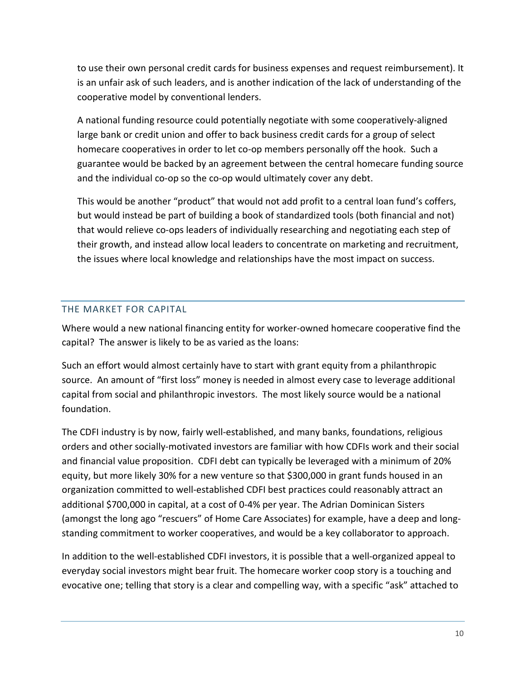to use their own personal credit cards for business expenses and request reimbursement). It is an unfair ask of such leaders, and is another indication of the lack of understanding of the cooperative model by conventional lenders.

A national funding resource could potentially negotiate with some cooperatively-aligned large bank or credit union and offer to back business credit cards for a group of select homecare cooperatives in order to let co-op members personally off the hook. Such a guarantee would be backed by an agreement between the central homecare funding source and the individual co-op so the co-op would ultimately cover any debt.

This would be another "product" that would not add profit to a central loan fund's coffers, but would instead be part of building a book of standardized tools (both financial and not) that would relieve co-ops leaders of individually researching and negotiating each step of their growth, and instead allow local leaders to concentrate on marketing and recruitment, the issues where local knowledge and relationships have the most impact on success.

# <span id="page-10-0"></span>THE MARKET FOR CAPITAL

Where would a new national financing entity for worker-owned homecare cooperative find the capital? The answer is likely to be as varied as the loans:

Such an effort would almost certainly have to start with grant equity from a philanthropic source. An amount of "first loss" money is needed in almost every case to leverage additional capital from social and philanthropic investors. The most likely source would be a national foundation.

The CDFI industry is by now, fairly well-established, and many banks, foundations, religious orders and other socially-motivated investors are familiar with how CDFIs work and their social and financial value proposition. CDFI debt can typically be leveraged with a minimum of 20% equity, but more likely 30% for a new venture so that \$300,000 in grant funds housed in an organization committed to well-established CDFI best practices could reasonably attract an additional \$700,000 in capital, at a cost of 0-4% per year. The Adrian Dominican Sisters (amongst the long ago "rescuers" of Home Care Associates) for example, have a deep and longstanding commitment to worker cooperatives, and would be a key collaborator to approach.

In addition to the well-established CDFI investors, it is possible that a well-organized appeal to everyday social investors might bear fruit. The homecare worker coop story is a touching and evocative one; telling that story is a clear and compelling way, with a specific "ask" attached to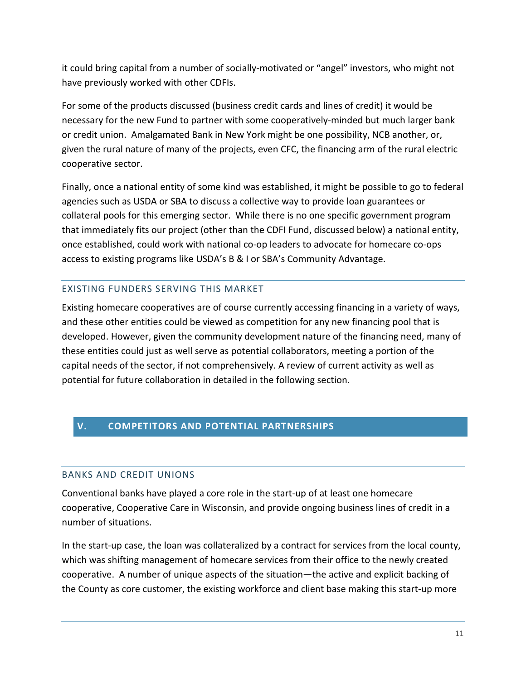it could bring capital from a number of socially-motivated or "angel" investors, who might not have previously worked with other CDFIs.

For some of the products discussed (business credit cards and lines of credit) it would be necessary for the new Fund to partner with some cooperatively-minded but much larger bank or credit union. Amalgamated Bank in New York might be one possibility, NCB another, or, given the rural nature of many of the projects, even CFC, the financing arm of the rural electric cooperative sector.

Finally, once a national entity of some kind was established, it might be possible to go to federal agencies such as USDA or SBA to discuss a collective way to provide loan guarantees or collateral pools for this emerging sector. While there is no one specific government program that immediately fits our project (other than the CDFI Fund, discussed below) a national entity, once established, could work with national co-op leaders to advocate for homecare co-ops access to existing programs like USDA's B & I or SBA's Community Advantage.

#### <span id="page-11-0"></span>EXISTING FUNDERS SERVING THIS MARKET

Existing homecare cooperatives are of course currently accessing financing in a variety of ways, and these other entities could be viewed as competition for any new financing pool that is developed. However, given the community development nature of the financing need, many of these entities could just as well serve as potential collaborators, meeting a portion of the capital needs of the sector, if not comprehensively. A review of current activity as well as potential for future collaboration in detailed in the following section.

## <span id="page-11-1"></span>**V. COMPETITORS AND POTENTIAL PARTNERSHIPS**

## <span id="page-11-2"></span>BANKS AND CREDIT UNIONS

Conventional banks have played a core role in the start-up of at least one homecare cooperative, Cooperative Care in Wisconsin, and provide ongoing business lines of credit in a number of situations.

In the start-up case, the loan was collateralized by a contract for services from the local county, which was shifting management of homecare services from their office to the newly created cooperative. A number of unique aspects of the situation—the active and explicit backing of the County as core customer, the existing workforce and client base making this start-up more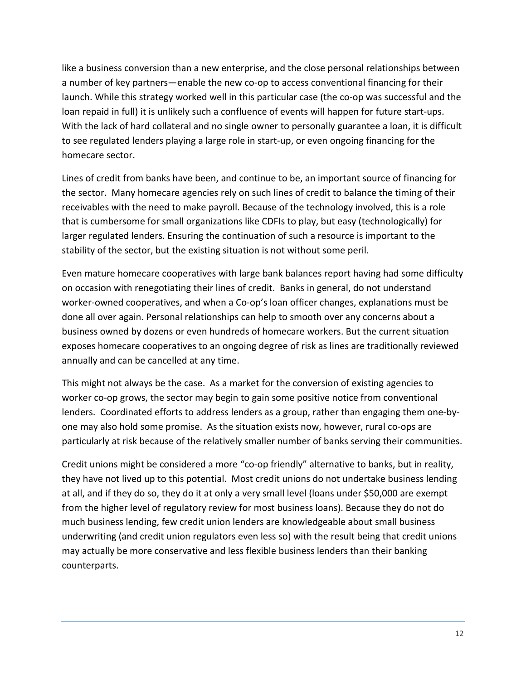like a business conversion than a new enterprise, and the close personal relationships between a number of key partners—enable the new co-op to access conventional financing for their launch. While this strategy worked well in this particular case (the co-op was successful and the loan repaid in full) it is unlikely such a confluence of events will happen for future start-ups. With the lack of hard collateral and no single owner to personally guarantee a loan, it is difficult to see regulated lenders playing a large role in start-up, or even ongoing financing for the homecare sector.

Lines of credit from banks have been, and continue to be, an important source of financing for the sector. Many homecare agencies rely on such lines of credit to balance the timing of their receivables with the need to make payroll. Because of the technology involved, this is a role that is cumbersome for small organizations like CDFIs to play, but easy (technologically) for larger regulated lenders. Ensuring the continuation of such a resource is important to the stability of the sector, but the existing situation is not without some peril.

Even mature homecare cooperatives with large bank balances report having had some difficulty on occasion with renegotiating their lines of credit. Banks in general, do not understand worker-owned cooperatives, and when a Co-op's loan officer changes, explanations must be done all over again. Personal relationships can help to smooth over any concerns about a business owned by dozens or even hundreds of homecare workers. But the current situation exposes homecare cooperatives to an ongoing degree of risk as lines are traditionally reviewed annually and can be cancelled at any time.

This might not always be the case. As a market for the conversion of existing agencies to worker co-op grows, the sector may begin to gain some positive notice from conventional lenders. Coordinated efforts to address lenders as a group, rather than engaging them one-byone may also hold some promise. As the situation exists now, however, rural co-ops are particularly at risk because of the relatively smaller number of banks serving their communities.

Credit unions might be considered a more "co-op friendly" alternative to banks, but in reality, they have not lived up to this potential. Most credit unions do not undertake business lending at all, and if they do so, they do it at only a very small level (loans under \$50,000 are exempt from the higher level of regulatory review for most business loans). Because they do not do much business lending, few credit union lenders are knowledgeable about small business underwriting (and credit union regulators even less so) with the result being that credit unions may actually be more conservative and less flexible business lenders than their banking counterparts.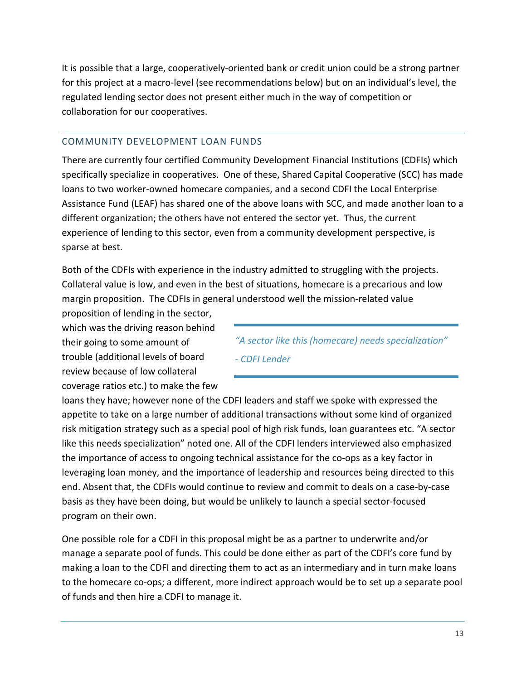It is possible that a large, cooperatively-oriented bank or credit union could be a strong partner for this project at a macro-level (see recommendations below) but on an individual's level, the regulated lending sector does not present either much in the way of competition or collaboration for our cooperatives.

## <span id="page-13-0"></span>COMMUNITY DEVELOPMENT LOAN FUNDS

There are currently four certified Community Development Financial Institutions (CDFIs) which specifically specialize in cooperatives. One of these, Shared Capital Cooperative (SCC) has made loans to two worker-owned homecare companies, and a second CDFI the Local Enterprise Assistance Fund (LEAF) has shared one of the above loans with SCC, and made another loan to a different organization; the others have not entered the sector yet. Thus, the current experience of lending to this sector, even from a community development perspective, is sparse at best.

Both of the CDFIs with experience in the industry admitted to struggling with the projects. Collateral value is low, and even in the best of situations, homecare is a precarious and low margin proposition. The CDFIs in general understood well the mission-related value

proposition of lending in the sector, which was the driving reason behind their going to some amount of trouble (additional levels of board review because of low collateral coverage ratios etc.) to make the few

*"A sector like this (homecare) needs specialization" - CDFI Lender*

loans they have; however none of the CDFI leaders and staff we spoke with expressed the appetite to take on a large number of additional transactions without some kind of organized risk mitigation strategy such as a special pool of high risk funds, loan guarantees etc. "A sector like this needs specialization" noted one. All of the CDFI lenders interviewed also emphasized the importance of access to ongoing technical assistance for the co-ops as a key factor in leveraging loan money, and the importance of leadership and resources being directed to this end. Absent that, the CDFIs would continue to review and commit to deals on a case-by-case basis as they have been doing, but would be unlikely to launch a special sector-focused program on their own.

One possible role for a CDFI in this proposal might be as a partner to underwrite and/or manage a separate pool of funds. This could be done either as part of the CDFI's core fund by making a loan to the CDFI and directing them to act as an intermediary and in turn make loans to the homecare co-ops; a different, more indirect approach would be to set up a separate pool of funds and then hire a CDFI to manage it.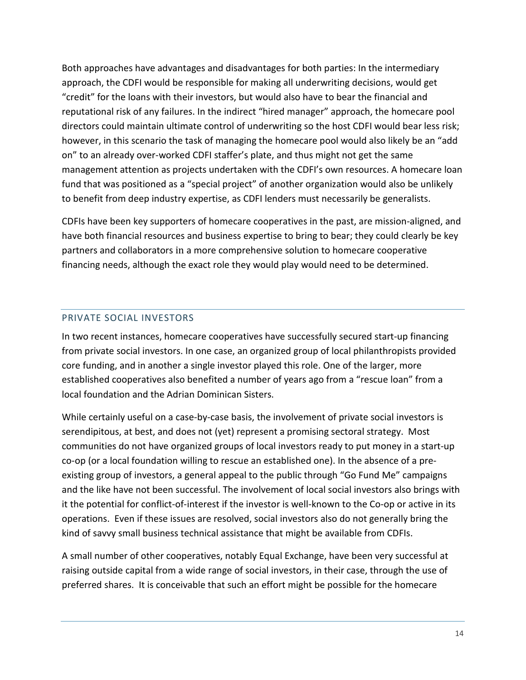Both approaches have advantages and disadvantages for both parties: In the intermediary approach, the CDFI would be responsible for making all underwriting decisions, would get "credit" for the loans with their investors, but would also have to bear the financial and reputational risk of any failures. In the indirect "hired manager" approach, the homecare pool directors could maintain ultimate control of underwriting so the host CDFI would bear less risk; however, in this scenario the task of managing the homecare pool would also likely be an "add on" to an already over-worked CDFI staffer's plate, and thus might not get the same management attention as projects undertaken with the CDFI's own resources. A homecare loan fund that was positioned as a "special project" of another organization would also be unlikely to benefit from deep industry expertise, as CDFI lenders must necessarily be generalists.

CDFIs have been key supporters of homecare cooperatives in the past, are mission-aligned, and have both financial resources and business expertise to bring to bear; they could clearly be key partners and collaborators in a more comprehensive solution to homecare cooperative financing needs, although the exact role they would play would need to be determined.

## <span id="page-14-0"></span>PRIVATE SOCIAL INVESTORS

In two recent instances, homecare cooperatives have successfully secured start-up financing from private social investors. In one case, an organized group of local philanthropists provided core funding, and in another a single investor played this role. One of the larger, more established cooperatives also benefited a number of years ago from a "rescue loan" from a local foundation and the Adrian Dominican Sisters.

While certainly useful on a case-by-case basis, the involvement of private social investors is serendipitous, at best, and does not (yet) represent a promising sectoral strategy. Most communities do not have organized groups of local investors ready to put money in a start-up co-op (or a local foundation willing to rescue an established one). In the absence of a preexisting group of investors, a general appeal to the public through "Go Fund Me" campaigns and the like have not been successful. The involvement of local social investors also brings with it the potential for conflict-of-interest if the investor is well-known to the Co-op or active in its operations. Even if these issues are resolved, social investors also do not generally bring the kind of savvy small business technical assistance that might be available from CDFIs.

A small number of other cooperatives, notably Equal Exchange, have been very successful at raising outside capital from a wide range of social investors, in their case, through the use of preferred shares. It is conceivable that such an effort might be possible for the homecare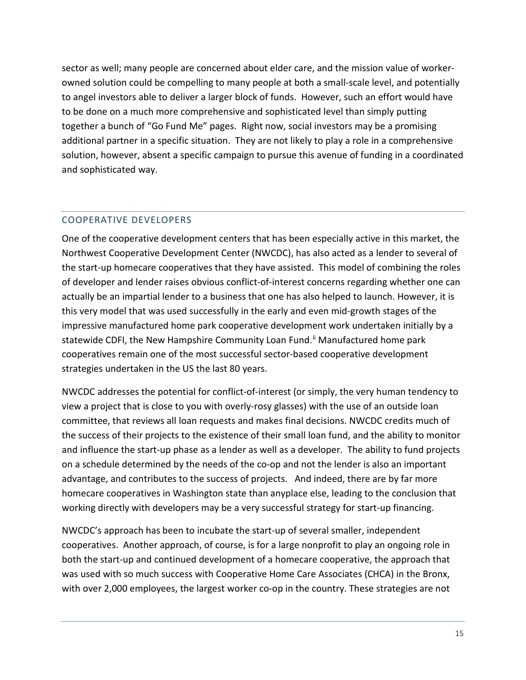sector as well; many people are concerned about elder care, and the mission value of workerowned solution could be compelling to many people at both a small-scale level, and potentially to angel investors able to deliver a larger block of funds. However, such an effort would have to be done on a much more comprehensive and sophisticated level than simply putting together a bunch of "Go Fund Me" pages. Right now, social investors may be a promising additional partner in a specific situation. They are not likely to play a role in a comprehensive solution, however, absent a specific campaign to pursue this avenue of funding in a coordinated and sophisticated way.

# <span id="page-15-0"></span>COOPERATIVE DEVELOPERS

One of the cooperative development centers that has been especially active in this market, the Northwest Cooperative Development Center (NWCDC), has also acted as a lender to several of the start-up homecare cooperatives that they have assisted. This model of combining the roles of developer and lender raises obvious conflict-of-interest concerns regarding whether one can actually be an impartial lender to a business that one has also helped to launch. However, it is this very model that was used successfully in the early and even mid-growth stages of the impressive manufactured home park cooperative development work undertaken initially by a statewide CDFI, the New Hampshire Community Loan Fund.<sup>[ii](#page-31-2)</sup> Manufactured home park cooperatives remain one of the most successful sector-based cooperative development strategies undertaken in the US the last 80 years.

NWCDC addresses the potential for conflict-of-interest (or simply, the very human tendency to view a project that is close to you with overly-rosy glasses) with the use of an outside loan committee, that reviews all loan requests and makes final decisions. NWCDC credits much of the success of their projects to the existence of their small loan fund, and the ability to monitor and influence the start-up phase as a lender as well as a developer. The ability to fund projects on a schedule determined by the needs of the co-op and not the lender is also an important advantage, and contributes to the success of projects. And indeed, there are by far more homecare cooperatives in Washington state than anyplace else, leading to the conclusion that working directly with developers may be a very successful strategy for start-up financing.

NWCDC's approach has been to incubate the start-up of several smaller, independent cooperatives. Another approach, of course, is for a large nonprofit to play an ongoing role in both the start-up and continued development of a homecare cooperative, the approach that was used with so much success with Cooperative Home Care Associates (CHCA) in the Bronx, with over 2,000 employees, the largest worker co-op in the country. These strategies are not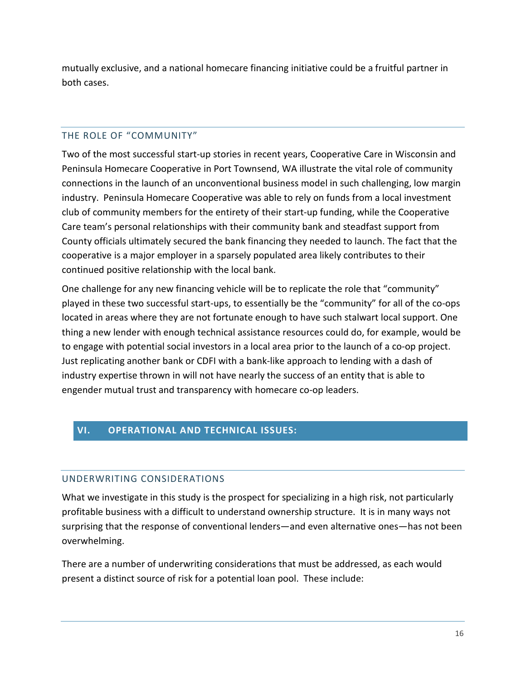mutually exclusive, and a national homecare financing initiative could be a fruitful partner in both cases.

# <span id="page-16-0"></span>THE ROLE OF "COMMUNITY"

Two of the most successful start-up stories in recent years, Cooperative Care in Wisconsin and Peninsula Homecare Cooperative in Port Townsend, WA illustrate the vital role of community connections in the launch of an unconventional business model in such challenging, low margin industry. Peninsula Homecare Cooperative was able to rely on funds from a local investment club of community members for the entirety of their start-up funding, while the Cooperative Care team's personal relationships with their community bank and steadfast support from County officials ultimately secured the bank financing they needed to launch. The fact that the cooperative is a major employer in a sparsely populated area likely contributes to their continued positive relationship with the local bank.

One challenge for any new financing vehicle will be to replicate the role that "community" played in these two successful start-ups, to essentially be the "community" for all of the co-ops located in areas where they are not fortunate enough to have such stalwart local support. One thing a new lender with enough technical assistance resources could do, for example, would be to engage with potential social investors in a local area prior to the launch of a co-op project. Just replicating another bank or CDFI with a bank-like approach to lending with a dash of industry expertise thrown in will not have nearly the success of an entity that is able to engender mutual trust and transparency with homecare co-op leaders.

# <span id="page-16-1"></span>**VI. OPERATIONAL AND TECHNICAL ISSUES:**

# <span id="page-16-2"></span>UNDERWRITING CONSIDERATIONS

What we investigate in this study is the prospect for specializing in a high risk, not particularly profitable business with a difficult to understand ownership structure. It is in many ways not surprising that the response of conventional lenders—and even alternative ones—has not been overwhelming.

There are a number of underwriting considerations that must be addressed, as each would present a distinct source of risk for a potential loan pool. These include: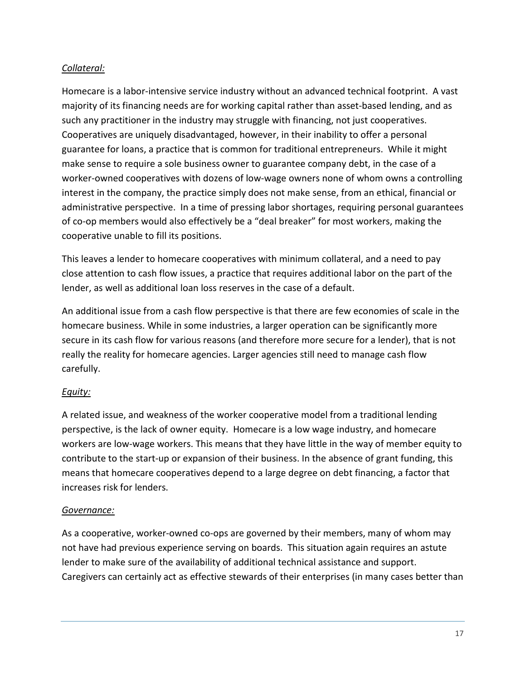# *Collateral:*

Homecare is a labor-intensive service industry without an advanced technical footprint. A vast majority of its financing needs are for working capital rather than asset-based lending, and as such any practitioner in the industry may struggle with financing, not just cooperatives. Cooperatives are uniquely disadvantaged, however, in their inability to offer a personal guarantee for loans, a practice that is common for traditional entrepreneurs. While it might make sense to require a sole business owner to guarantee company debt, in the case of a worker-owned cooperatives with dozens of low-wage owners none of whom owns a controlling interest in the company, the practice simply does not make sense, from an ethical, financial or administrative perspective. In a time of pressing labor shortages, requiring personal guarantees of co-op members would also effectively be a "deal breaker" for most workers, making the cooperative unable to fill its positions.

This leaves a lender to homecare cooperatives with minimum collateral, and a need to pay close attention to cash flow issues, a practice that requires additional labor on the part of the lender, as well as additional loan loss reserves in the case of a default.

An additional issue from a cash flow perspective is that there are few economies of scale in the homecare business. While in some industries, a larger operation can be significantly more secure in its cash flow for various reasons (and therefore more secure for a lender), that is not really the reality for homecare agencies. Larger agencies still need to manage cash flow carefully.

# *Equity:*

A related issue, and weakness of the worker cooperative model from a traditional lending perspective, is the lack of owner equity. Homecare is a low wage industry, and homecare workers are low-wage workers. This means that they have little in the way of member equity to contribute to the start-up or expansion of their business. In the absence of grant funding, this means that homecare cooperatives depend to a large degree on debt financing, a factor that increases risk for lenders.

## *Governance:*

As a cooperative, worker-owned co-ops are governed by their members, many of whom may not have had previous experience serving on boards. This situation again requires an astute lender to make sure of the availability of additional technical assistance and support. Caregivers can certainly act as effective stewards of their enterprises (in many cases better than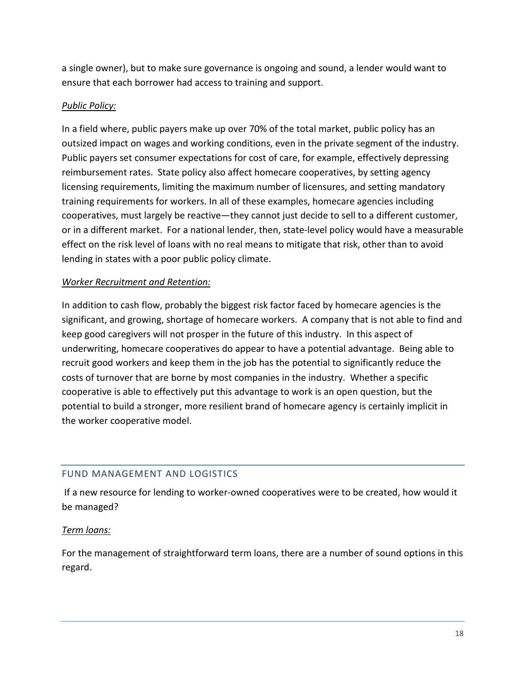a single owner), but to make sure governance is ongoing and sound, a lender would want to ensure that each borrower had access to training and support.

# *Public Policy:*

In a field where, public payers make up over 70% of the total market, public policy has an outsized impact on wages and working conditions, even in the private segment of the industry. Public payers set consumer expectations for cost of care, for example, effectively depressing reimbursement rates. State policy also affect homecare cooperatives, by setting agency licensing requirements, limiting the maximum number of licensures, and setting mandatory training requirements for workers. In all of these examples, homecare agencies including cooperatives, must largely be reactive—they cannot just decide to sell to a different customer, or in a different market. For a national lender, then, state-level policy would have a measurable effect on the risk level of loans with no real means to mitigate that risk, other than to avoid lending in states with a poor public policy climate.

# *Worker Recruitment and Retention:*

In addition to cash flow, probably the biggest risk factor faced by homecare agencies is the significant, and growing, shortage of homecare workers. A company that is not able to find and keep good caregivers will not prosper in the future of this industry. In this aspect of underwriting, homecare cooperatives do appear to have a potential advantage. Being able to recruit good workers and keep them in the job has the potential to significantly reduce the costs of turnover that are borne by most companies in the industry. Whether a specific cooperative is able to effectively put this advantage to work is an open question, but the potential to build a stronger, more resilient brand of homecare agency is certainly implicit in the worker cooperative model.

# <span id="page-18-0"></span>FUND MANAGEMENT AND LOGISTICS

If a new resource for lending to worker-owned cooperatives were to be created, how would it be managed?

## *Term loans:*

For the management of straightforward term loans, there are a number of sound options in this regard.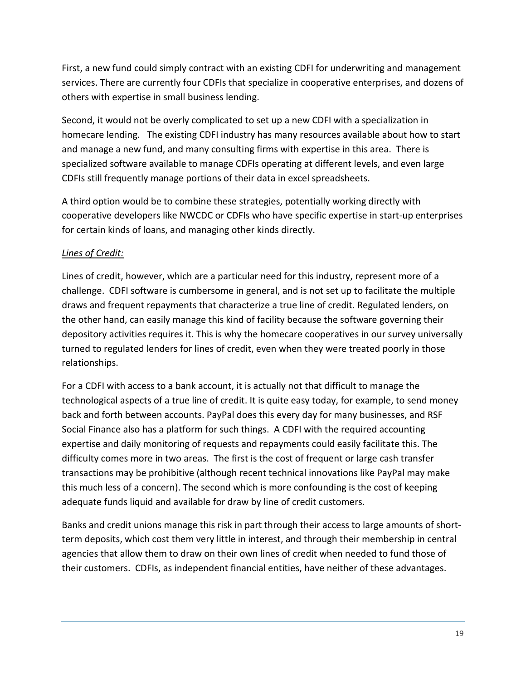First, a new fund could simply contract with an existing CDFI for underwriting and management services. There are currently four CDFIs that specialize in cooperative enterprises, and dozens of others with expertise in small business lending.

Second, it would not be overly complicated to set up a new CDFI with a specialization in homecare lending. The existing CDFI industry has many resources available about how to start and manage a new fund, and many consulting firms with expertise in this area. There is specialized software available to manage CDFIs operating at different levels, and even large CDFIs still frequently manage portions of their data in excel spreadsheets.

A third option would be to combine these strategies, potentially working directly with cooperative developers like NWCDC or CDFIs who have specific expertise in start-up enterprises for certain kinds of loans, and managing other kinds directly.

# *Lines of Credit:*

Lines of credit, however, which are a particular need for this industry, represent more of a challenge. CDFI software is cumbersome in general, and is not set up to facilitate the multiple draws and frequent repayments that characterize a true line of credit. Regulated lenders, on the other hand, can easily manage this kind of facility because the software governing their depository activities requires it. This is why the homecare cooperatives in our survey universally turned to regulated lenders for lines of credit, even when they were treated poorly in those relationships.

For a CDFI with access to a bank account, it is actually not that difficult to manage the technological aspects of a true line of credit. It is quite easy today, for example, to send money back and forth between accounts. PayPal does this every day for many businesses, and RSF Social Finance also has a platform for such things. A CDFI with the required accounting expertise and daily monitoring of requests and repayments could easily facilitate this. The difficulty comes more in two areas. The first is the cost of frequent or large cash transfer transactions may be prohibitive (although recent technical innovations like PayPal may make this much less of a concern). The second which is more confounding is the cost of keeping adequate funds liquid and available for draw by line of credit customers.

Banks and credit unions manage this risk in part through their access to large amounts of shortterm deposits, which cost them very little in interest, and through their membership in central agencies that allow them to draw on their own lines of credit when needed to fund those of their customers. CDFIs, as independent financial entities, have neither of these advantages.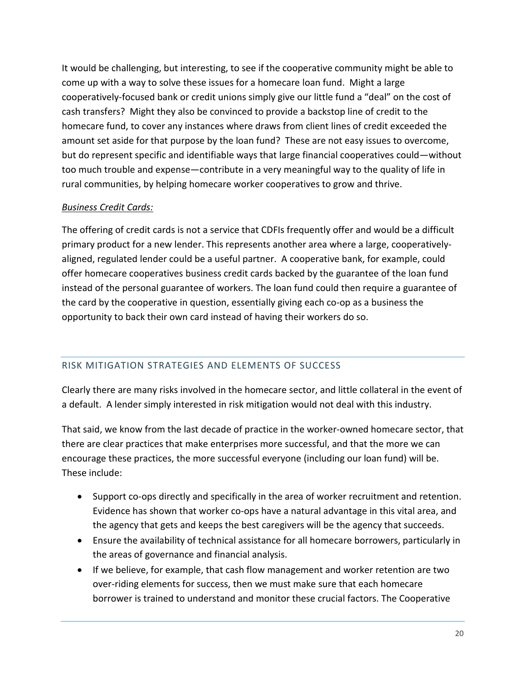It would be challenging, but interesting, to see if the cooperative community might be able to come up with a way to solve these issues for a homecare loan fund. Might a large cooperatively-focused bank or credit unions simply give our little fund a "deal" on the cost of cash transfers? Might they also be convinced to provide a backstop line of credit to the homecare fund, to cover any instances where draws from client lines of credit exceeded the amount set aside for that purpose by the loan fund? These are not easy issues to overcome, but do represent specific and identifiable ways that large financial cooperatives could—without too much trouble and expense—contribute in a very meaningful way to the quality of life in rural communities, by helping homecare worker cooperatives to grow and thrive.

# *Business Credit Cards:*

The offering of credit cards is not a service that CDFIs frequently offer and would be a difficult primary product for a new lender. This represents another area where a large, cooperativelyaligned, regulated lender could be a useful partner. A cooperative bank, for example, could offer homecare cooperatives business credit cards backed by the guarantee of the loan fund instead of the personal guarantee of workers. The loan fund could then require a guarantee of the card by the cooperative in question, essentially giving each co-op as a business the opportunity to back their own card instead of having their workers do so.

# <span id="page-20-0"></span>RISK MITIGATION STRATEGIES AND ELEMENTS OF SUCCESS

Clearly there are many risks involved in the homecare sector, and little collateral in the event of a default. A lender simply interested in risk mitigation would not deal with this industry.

That said, we know from the last decade of practice in the worker-owned homecare sector, that there are clear practices that make enterprises more successful, and that the more we can encourage these practices, the more successful everyone (including our loan fund) will be. These include:

- Support co-ops directly and specifically in the area of worker recruitment and retention. Evidence has shown that worker co-ops have a natural advantage in this vital area, and the agency that gets and keeps the best caregivers will be the agency that succeeds.
- Ensure the availability of technical assistance for all homecare borrowers, particularly in the areas of governance and financial analysis.
- If we believe, for example, that cash flow management and worker retention are two over-riding elements for success, then we must make sure that each homecare borrower is trained to understand and monitor these crucial factors. The Cooperative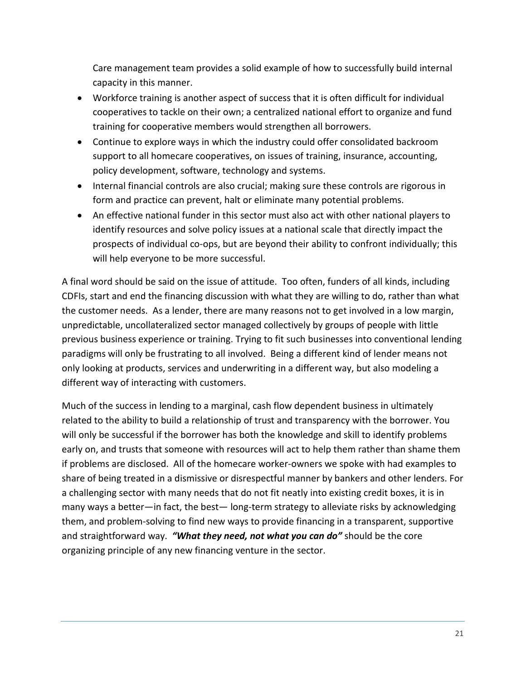Care management team provides a solid example of how to successfully build internal capacity in this manner.

- Workforce training is another aspect of success that it is often difficult for individual cooperatives to tackle on their own; a centralized national effort to organize and fund training for cooperative members would strengthen all borrowers.
- Continue to explore ways in which the industry could offer consolidated backroom support to all homecare cooperatives, on issues of training, insurance, accounting, policy development, software, technology and systems.
- Internal financial controls are also crucial; making sure these controls are rigorous in form and practice can prevent, halt or eliminate many potential problems.
- An effective national funder in this sector must also act with other national players to identify resources and solve policy issues at a national scale that directly impact the prospects of individual co-ops, but are beyond their ability to confront individually; this will help everyone to be more successful.

A final word should be said on the issue of attitude. Too often, funders of all kinds, including CDFIs, start and end the financing discussion with what they are willing to do, rather than what the customer needs. As a lender, there are many reasons not to get involved in a low margin, unpredictable, uncollateralized sector managed collectively by groups of people with little previous business experience or training. Trying to fit such businesses into conventional lending paradigms will only be frustrating to all involved. Being a different kind of lender means not only looking at products, services and underwriting in a different way, but also modeling a different way of interacting with customers.

Much of the success in lending to a marginal, cash flow dependent business in ultimately related to the ability to build a relationship of trust and transparency with the borrower. You will only be successful if the borrower has both the knowledge and skill to identify problems early on, and trusts that someone with resources will act to help them rather than shame them if problems are disclosed. All of the homecare worker-owners we spoke with had examples to share of being treated in a dismissive or disrespectful manner by bankers and other lenders. For a challenging sector with many needs that do not fit neatly into existing credit boxes, it is in many ways a better—in fact, the best— long-term strategy to alleviate risks by acknowledging them, and problem-solving to find new ways to provide financing in a transparent, supportive and straightforward way. *"What they need, not what you can do"* should be the core organizing principle of any new financing venture in the sector.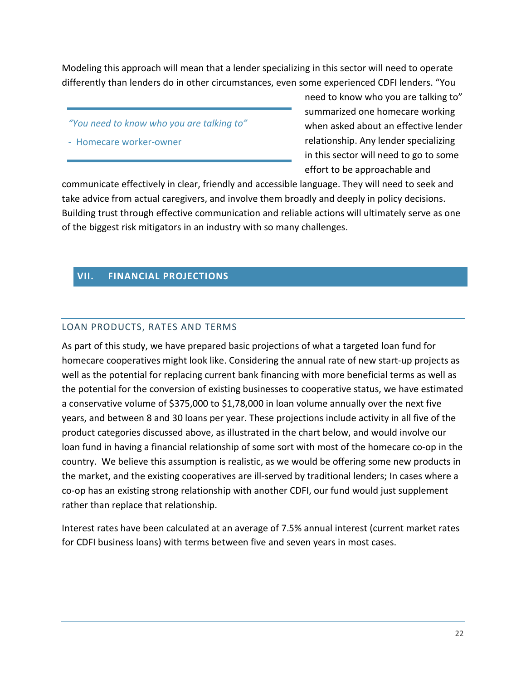Modeling this approach will mean that a lender specializing in this sector will need to operate differently than lenders do in other circumstances, even some experienced CDFI lenders. "You

- *"You need to know who you are talking to"*
- Homecare worker-owner

need to know who you are talking to" summarized one homecare working when asked about an effective lender relationship. Any lender specializing in this sector will need to go to some effort to be approachable and

communicate effectively in clear, friendly and accessible language. They will need to seek and take advice from actual caregivers, and involve them broadly and deeply in policy decisions. Building trust through effective communication and reliable actions will ultimately serve as one of the biggest risk mitigators in an industry with so many challenges.

# <span id="page-22-0"></span>**VII. FINANCIAL PROJECTIONS**

#### <span id="page-22-1"></span>LOAN PRODUCTS, RATES AND TERMS

As part of this study, we have prepared basic projections of what a targeted loan fund for homecare cooperatives might look like. Considering the annual rate of new start-up projects as well as the potential for replacing current bank financing with more beneficial terms as well as the potential for the conversion of existing businesses to cooperative status, we have estimated a conservative volume of \$375,000 to \$1,78,000 in loan volume annually over the next five years, and between 8 and 30 loans per year. These projections include activity in all five of the product categories discussed above, as illustrated in the chart below, and would involve our loan fund in having a financial relationship of some sort with most of the homecare co-op in the country. We believe this assumption is realistic, as we would be offering some new products in the market, and the existing cooperatives are ill-served by traditional lenders; In cases where a co-op has an existing strong relationship with another CDFI, our fund would just supplement rather than replace that relationship.

Interest rates have been calculated at an average of 7.5% annual interest (current market rates for CDFI business loans) with terms between five and seven years in most cases.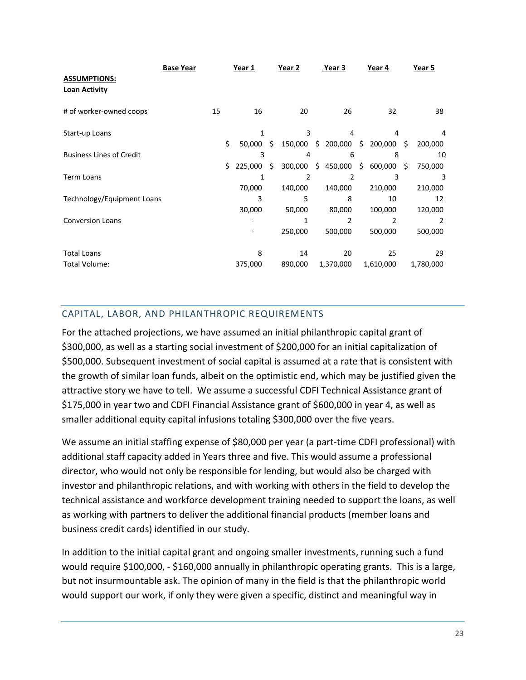|                                 | <b>Base Year</b> |    |     | Year 1           |    | Year 2  | Year 3                | Year 4                           |     | Year 5        |
|---------------------------------|------------------|----|-----|------------------|----|---------|-----------------------|----------------------------------|-----|---------------|
| <b>ASSUMPTIONS:</b>             |                  |    |     |                  |    |         |                       |                                  |     |               |
| <b>Loan Activity</b>            |                  |    |     |                  |    |         |                       |                                  |     |               |
| # of worker-owned coops         |                  | 15 |     | 16               |    | 20      | 26                    | 32                               |     | 38            |
| Start-up Loans                  |                  |    |     | 1                |    | 3       | 4                     | 4                                |     |               |
|                                 |                  |    | \$  | $50.000 \quad S$ |    |         |                       | 150,000 \$ 200,000 \$ 200,000 \$ |     | 200,000       |
| <b>Business Lines of Credit</b> |                  |    |     | 3                |    | 4       | 6                     | 8                                |     | 10            |
|                                 |                  |    | \$. | 225,000          | Ŝ. | 300,000 | $$450,000$$ \$600,000 |                                  | \$. | 750,000       |
| <b>Term Loans</b>               |                  |    |     | 1                |    | 2       | 2                     | 3                                |     | 3             |
|                                 |                  |    |     | 70,000           |    | 140,000 | 140,000               | 210,000                          |     | 210,000       |
| Technology/Equipment Loans      |                  |    |     | 3                |    | 5       | 8                     | 10                               |     | 12            |
|                                 |                  |    |     | 30,000           |    | 50,000  | 80,000                | 100,000                          |     | 120,000       |
| <b>Conversion Loans</b>         |                  |    |     |                  |    | 1       | 2                     | 2                                |     | $\mathcal{P}$ |
|                                 |                  |    |     |                  |    | 250,000 | 500,000               | 500,000                          |     | 500,000       |
| <b>Total Loans</b>              |                  |    |     | 8                |    | 14      | 20                    | 25                               |     | 29            |
| Total Volume:                   |                  |    |     | 375,000          |    | 890,000 | 1,370,000             | 1,610,000                        |     | 1,780,000     |

# <span id="page-23-0"></span>CAPITAL, LABOR, AND PHILANTHROPIC REQUIREMENTS

For the attached projections, we have assumed an initial philanthropic capital grant of \$300,000, as well as a starting social investment of \$200,000 for an initial capitalization of \$500,000. Subsequent investment of social capital is assumed at a rate that is consistent with the growth of similar loan funds, albeit on the optimistic end, which may be justified given the attractive story we have to tell. We assume a successful CDFI Technical Assistance grant of \$175,000 in year two and CDFI Financial Assistance grant of \$600,000 in year 4, as well as smaller additional equity capital infusions totaling \$300,000 over the five years.

We assume an initial staffing expense of \$80,000 per year (a part-time CDFI professional) with additional staff capacity added in Years three and five. This would assume a professional director, who would not only be responsible for lending, but would also be charged with investor and philanthropic relations, and with working with others in the field to develop the technical assistance and workforce development training needed to support the loans, as well as working with partners to deliver the additional financial products (member loans and business credit cards) identified in our study.

In addition to the initial capital grant and ongoing smaller investments, running such a fund would require \$100,000, - \$160,000 annually in philanthropic operating grants. This is a large, but not insurmountable ask. The opinion of many in the field is that the philanthropic world would support our work, if only they were given a specific, distinct and meaningful way in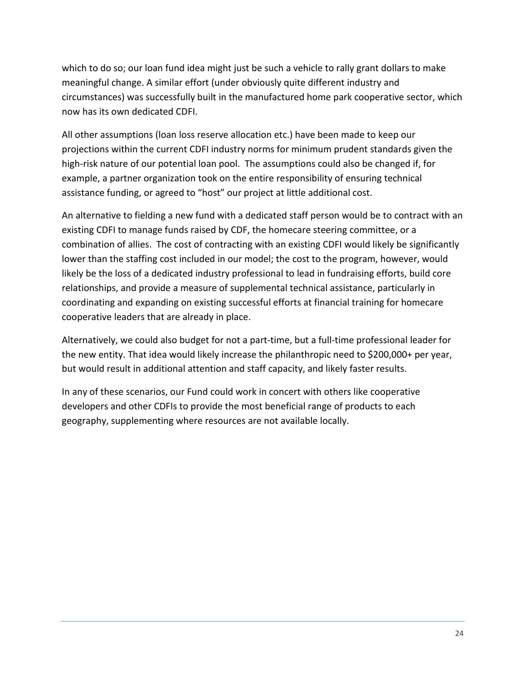which to do so; our loan fund idea might just be such a vehicle to rally grant dollars to make meaningful change. A similar effort (under obviously quite different industry and circumstances) was successfully built in the manufactured home park cooperative sector, which now has its own dedicated CDFI.

All other assumptions (loan loss reserve allocation etc.) have been made to keep our projections within the current CDFI industry norms for minimum prudent standards given the high-risk nature of our potential loan pool. The assumptions could also be changed if, for example, a partner organization took on the entire responsibility of ensuring technical assistance funding, or agreed to "host" our project at little additional cost.

An alternative to fielding a new fund with a dedicated staff person would be to contract with an existing CDFI to manage funds raised by CDF, the homecare steering committee, or a combination of allies. The cost of contracting with an existing CDFI would likely be significantly lower than the staffing cost included in our model; the cost to the program, however, would likely be the loss of a dedicated industry professional to lead in fundraising efforts, build core relationships, and provide a measure of supplemental technical assistance, particularly in coordinating and expanding on existing successful efforts at financial training for homecare cooperative leaders that are already in place.

Alternatively, we could also budget for not a part-time, but a full-time professional leader for the new entity. That idea would likely increase the philanthropic need to \$200,000+ per year, but would result in additional attention and staff capacity, and likely faster results.

In any of these scenarios, our Fund could work in concert with others like cooperative developers and other CDFIs to provide the most beneficial range of products to each geography, supplementing where resources are not available locally.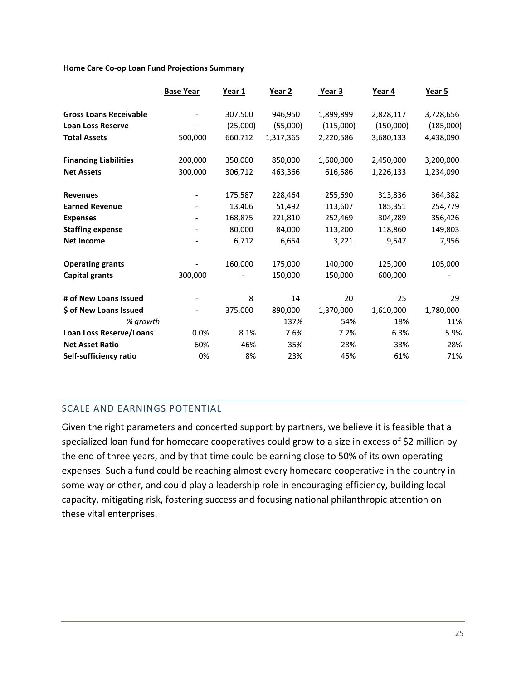#### **Home Care Co-op Loan Fund Projections Summary**

|                                | <b>Base Year</b> | Year 1   | Year 2    | Year 3    | Year 4    | Year 5    |
|--------------------------------|------------------|----------|-----------|-----------|-----------|-----------|
| <b>Gross Loans Receivable</b>  |                  | 307,500  | 946,950   | 1,899,899 | 2,828,117 | 3,728,656 |
| <b>Loan Loss Reserve</b>       |                  | (25,000) | (55,000)  | (115,000) | (150,000) | (185,000) |
| <b>Total Assets</b>            | 500,000          | 660,712  | 1,317,365 | 2,220,586 | 3,680,133 | 4,438,090 |
| <b>Financing Liabilities</b>   | 200,000          | 350,000  | 850,000   | 1,600,000 | 2,450,000 | 3,200,000 |
| <b>Net Assets</b>              | 300,000          | 306,712  | 463,366   | 616,586   | 1,226,133 | 1,234,090 |
| <b>Revenues</b>                |                  | 175,587  | 228,464   | 255,690   | 313,836   | 364,382   |
| <b>Earned Revenue</b>          |                  | 13,406   | 51,492    | 113,607   | 185,351   | 254,779   |
| <b>Expenses</b>                |                  | 168,875  | 221,810   | 252,469   | 304,289   | 356,426   |
| <b>Staffing expense</b>        |                  | 80,000   | 84,000    | 113,200   | 118,860   | 149,803   |
| <b>Net Income</b>              |                  | 6,712    | 6,654     | 3,221     | 9,547     | 7,956     |
| <b>Operating grants</b>        |                  | 160,000  | 175,000   | 140,000   | 125,000   | 105,000   |
| <b>Capital grants</b>          | 300,000          |          | 150,000   | 150,000   | 600,000   |           |
| # of New Loans Issued          |                  | 8        | 14        | 20        | 25        | 29        |
| \$ of New Loans Issued         |                  | 375,000  | 890,000   | 1,370,000 | 1,610,000 | 1,780,000 |
| % growth                       |                  |          | 137%      | 54%       | 18%       | 11%       |
| <b>Loan Loss Reserve/Loans</b> | 0.0%             | 8.1%     | 7.6%      | 7.2%      | 6.3%      | 5.9%      |
| <b>Net Asset Ratio</b>         | 60%              | 46%      | 35%       | 28%       | 33%       | 28%       |
| Self-sufficiency ratio         | 0%               | 8%       | 23%       | 45%       | 61%       | 71%       |
|                                |                  |          |           |           |           |           |

## <span id="page-25-0"></span>SCALE AND EARNINGS POTENTIAL

Given the right parameters and concerted support by partners, we believe it is feasible that a specialized loan fund for homecare cooperatives could grow to a size in excess of \$2 million by the end of three years, and by that time could be earning close to 50% of its own operating expenses. Such a fund could be reaching almost every homecare cooperative in the country in some way or other, and could play a leadership role in encouraging efficiency, building local capacity, mitigating risk, fostering success and focusing national philanthropic attention on these vital enterprises.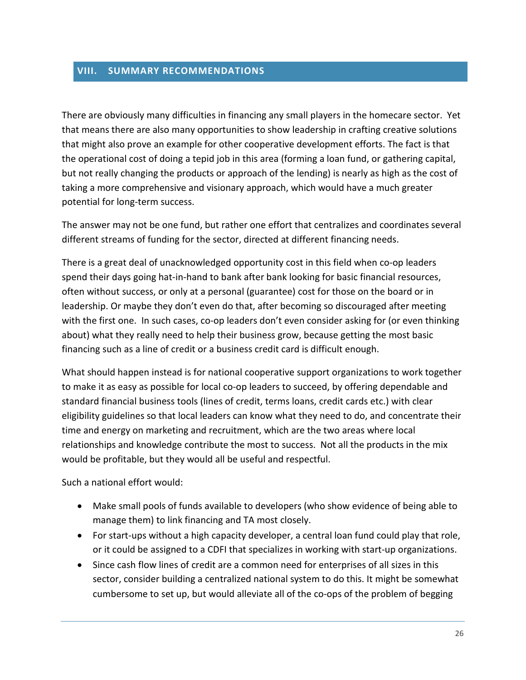#### <span id="page-26-0"></span>**VIII. SUMMARY RECOMMENDATIONS**

There are obviously many difficulties in financing any small players in the homecare sector. Yet that means there are also many opportunities to show leadership in crafting creative solutions that might also prove an example for other cooperative development efforts. The fact is that the operational cost of doing a tepid job in this area (forming a loan fund, or gathering capital, but not really changing the products or approach of the lending) is nearly as high as the cost of taking a more comprehensive and visionary approach, which would have a much greater potential for long-term success.

The answer may not be one fund, but rather one effort that centralizes and coordinates several different streams of funding for the sector, directed at different financing needs.

There is a great deal of unacknowledged opportunity cost in this field when co-op leaders spend their days going hat-in-hand to bank after bank looking for basic financial resources, often without success, or only at a personal (guarantee) cost for those on the board or in leadership. Or maybe they don't even do that, after becoming so discouraged after meeting with the first one. In such cases, co-op leaders don't even consider asking for (or even thinking about) what they really need to help their business grow, because getting the most basic financing such as a line of credit or a business credit card is difficult enough.

What should happen instead is for national cooperative support organizations to work together to make it as easy as possible for local co-op leaders to succeed, by offering dependable and standard financial business tools (lines of credit, terms loans, credit cards etc.) with clear eligibility guidelines so that local leaders can know what they need to do, and concentrate their time and energy on marketing and recruitment, which are the two areas where local relationships and knowledge contribute the most to success. Not all the products in the mix would be profitable, but they would all be useful and respectful.

Such a national effort would:

- Make small pools of funds available to developers (who show evidence of being able to manage them) to link financing and TA most closely.
- For start-ups without a high capacity developer, a central loan fund could play that role, or it could be assigned to a CDFI that specializes in working with start-up organizations.
- Since cash flow lines of credit are a common need for enterprises of all sizes in this sector, consider building a centralized national system to do this. It might be somewhat cumbersome to set up, but would alleviate all of the co-ops of the problem of begging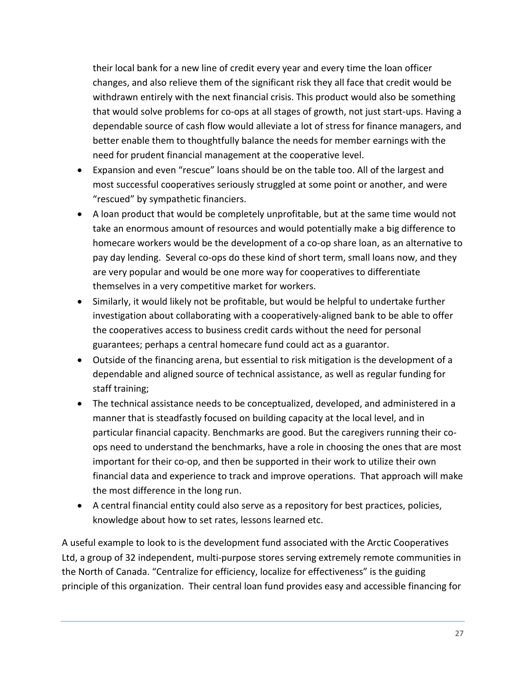their local bank for a new line of credit every year and every time the loan officer changes, and also relieve them of the significant risk they all face that credit would be withdrawn entirely with the next financial crisis. This product would also be something that would solve problems for co-ops at all stages of growth, not just start-ups. Having a dependable source of cash flow would alleviate a lot of stress for finance managers, and better enable them to thoughtfully balance the needs for member earnings with the need for prudent financial management at the cooperative level.

- Expansion and even "rescue" loans should be on the table too. All of the largest and most successful cooperatives seriously struggled at some point or another, and were "rescued" by sympathetic financiers.
- A loan product that would be completely unprofitable, but at the same time would not take an enormous amount of resources and would potentially make a big difference to homecare workers would be the development of a co-op share loan, as an alternative to pay day lending. Several co-ops do these kind of short term, small loans now, and they are very popular and would be one more way for cooperatives to differentiate themselves in a very competitive market for workers.
- Similarly, it would likely not be profitable, but would be helpful to undertake further investigation about collaborating with a cooperatively-aligned bank to be able to offer the cooperatives access to business credit cards without the need for personal guarantees; perhaps a central homecare fund could act as a guarantor.
- Outside of the financing arena, but essential to risk mitigation is the development of a dependable and aligned source of technical assistance, as well as regular funding for staff training;
- The technical assistance needs to be conceptualized, developed, and administered in a manner that is steadfastly focused on building capacity at the local level, and in particular financial capacity. Benchmarks are good. But the caregivers running their coops need to understand the benchmarks, have a role in choosing the ones that are most important for their co-op, and then be supported in their work to utilize their own financial data and experience to track and improve operations. That approach will make the most difference in the long run.
- A central financial entity could also serve as a repository for best practices, policies, knowledge about how to set rates, lessons learned etc.

A useful example to look to is the development fund associated with the Arctic Cooperatives Ltd, a group of 32 independent, multi-purpose stores serving extremely remote communities in the North of Canada. "Centralize for efficiency, localize for effectiveness" is the guiding principle of this organization. Their central loan fund provides easy and accessible financing for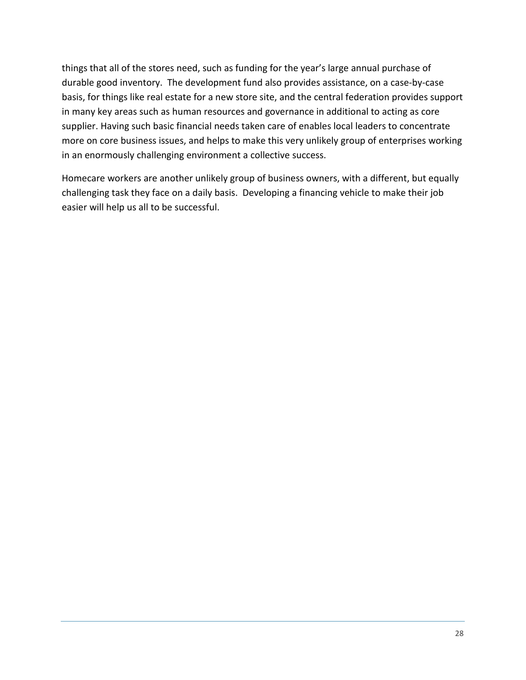things that all of the stores need, such as funding for the year's large annual purchase of durable good inventory. The development fund also provides assistance, on a case-by-case basis, for things like real estate for a new store site, and the central federation provides support in many key areas such as human resources and governance in additional to acting as core supplier. Having such basic financial needs taken care of enables local leaders to concentrate more on core business issues, and helps to make this very unlikely group of enterprises working in an enormously challenging environment a collective success.

Homecare workers are another unlikely group of business owners, with a different, but equally challenging task they face on a daily basis. Developing a financing vehicle to make their job easier will help us all to be successful.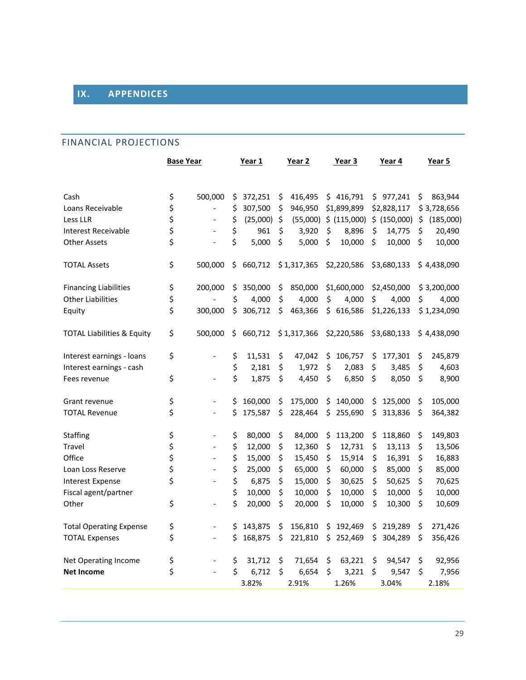# <span id="page-29-0"></span>**IX. APPENDICES**

## <span id="page-29-1"></span>FINANCIAL PROJECTIONS

|                                       | <b>Base Year</b> |                          | Year 1 |          | Year 2 |             | Year 3 |              | Year 4 |              |    | Year 5      |
|---------------------------------------|------------------|--------------------------|--------|----------|--------|-------------|--------|--------------|--------|--------------|----|-------------|
|                                       |                  |                          |        |          |        |             |        |              |        |              |    |             |
| Cash                                  | \$               | 500,000                  | \$     | 372,251  | \$     | 416,495     | \$     | 416,791      |        | \$977,241    | \$ | 863,944     |
| Loans Receivable                      | \$               | $\overline{a}$           | \$     | 307,500  | \$     | 946,950     |        | \$1,899,899  |        | \$2,828,117  |    | \$3,728,656 |
| Less LLR                              | \$               |                          | \$     | (25,000) | \$     | (55,000)    |        | \$ (115,000) |        | \$ (150,000) | \$ | (185,000)   |
| Interest Receivable                   | \$               |                          | \$     | 961      | \$     | 3,920       | \$     | 8,896        | \$     | 14,775       | \$ | 20,490      |
| Other Assets                          | \$               |                          | \$     | 5,000    | \$     | 5,000       | \$     | 10,000       | \$     | 10,000       | \$ | 10,000      |
| <b>TOTAL Assets</b>                   | \$               | 500,000                  | \$     | 660,712  |        | \$1,317,365 |        | \$2,220,586  |        | \$3,680,133  |    | \$4,438,090 |
| <b>Financing Liabilities</b>          | \$               | 200,000                  | \$     | 350,000  | \$     | 850,000     |        | \$1,600,000  |        | \$2,450,000  |    | \$3,200,000 |
| <b>Other Liabilities</b>              | \$               |                          | \$     | 4,000    | \$     | 4,000       | \$     | 4,000        | \$     | 4,000        | \$ | 4,000       |
| Equity                                | \$               | 300,000                  | \$     | 306,712  | \$     | 463,366     | \$     | 616,586      |        | \$1,226,133  |    | \$1,234,090 |
| <b>TOTAL Liabilities &amp; Equity</b> | \$               | 500,000                  | \$     | 660,712  |        | \$1,317,366 |        | \$2,220,586  |        | \$3,680,133  |    | \$4,438,090 |
| Interest earnings - loans             | \$               |                          | \$     | 11,531   | \$     | 47,042      | \$     | 106,757      | \$     | 177,301      | \$ | 245,879     |
| Interest earnings - cash              |                  |                          | \$     | 2,181    | \$     | 1,972       | \$     | 2,083        | \$     | 3,485        | \$ | 4,603       |
| Fees revenue                          | \$               | $\overline{a}$           | \$     | 1,875    | \$     | 4,450       | \$     | 6,850        | \$     | 8,050        | \$ | 8,900       |
| Grant revenue                         | \$               | $\overline{\phantom{a}}$ | \$     | 160,000  | \$     | 175,000     | \$     | 140,000      | \$     | 125,000      | \$ | 105,000     |
| <b>TOTAL Revenue</b>                  | \$               | $\overline{\phantom{a}}$ | \$     | 175,587  | \$     | 228,464     | \$     | 255,690      | \$     | 313,836      | \$ | 364,382     |
| Staffing                              | \$               | $\overline{\phantom{0}}$ | \$     | 80,000   | \$     | 84,000      | \$     | 113,200      | \$     | 118,860      | \$ | 149,803     |
| Travel                                | \$               | $\overline{\phantom{a}}$ | \$     | 12,000   | \$     | 12,360      | \$     | 12,731       | \$     | 13,113       | \$ | 13,506      |
| Office                                | \$               | $\overline{\phantom{a}}$ | \$     | 15,000   | \$     | 15,450      | \$     | 15,914       | \$     | 16,391       | \$ | 16,883      |
| Loan Loss Reserve                     | \$               | $\overline{a}$           | \$     | 25,000   | \$     | 65,000      | \$     | 60,000       | \$     | 85,000       | \$ | 85,000      |
| <b>Interest Expense</b>               | \$               | $\frac{1}{2}$            | \$     | 6,875    | \$     | 15,000      | \$     | 30,625       | \$     | 50,625       | \$ | 70,625      |
| Fiscal agent/partner                  |                  |                          | \$     | 10,000   | \$     | 10,000      | \$     | 10,000       | \$     | 10,000       | \$ | 10,000      |
| Other                                 | \$               |                          | \$     | 20,000   | \$     | 20,000      | \$     | 10,000       | \$     | 10,300       | \$ | 10,609      |
| <b>Total Operating Expense</b>        | \$               |                          | \$     | 143,875  | \$     | 156,810     | \$     | 192,469      | \$     | 219,289      | \$ | 271,426     |
| <b>TOTAL Expenses</b>                 | \$               | $\overline{\phantom{a}}$ | \$     | 168,875  | \$     | 221,810     | \$     | 252,469      | \$     | 304,289      | \$ | 356,426     |
| Net Operating Income                  | \$               |                          | \$     | 31,712   | \$     | 71,654      | \$     | 63,221       | \$     | 94,547       | \$ | 92,956      |
| <b>Net Income</b>                     | \$               |                          | \$     | 6,712    | \$     | 6,654       | \$     | 3,221        | \$     | 9,547        | Ś  | 7,956       |
|                                       |                  |                          |        | 3.82%    |        | 2.91%       |        | 1.26%        |        | 3.04%        |    | 2.18%       |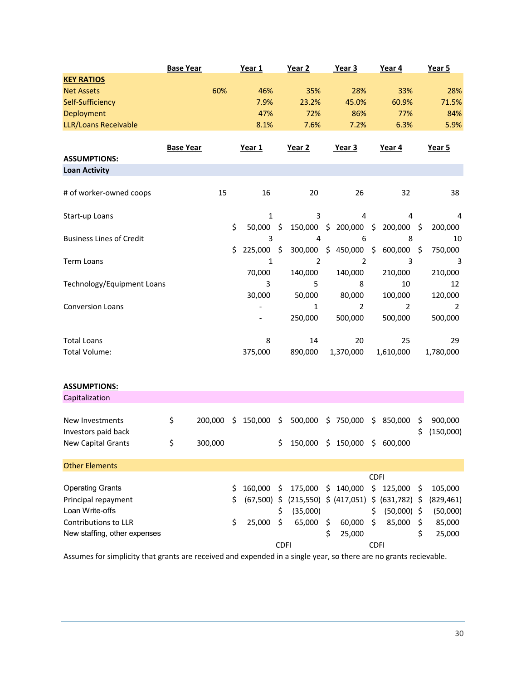|                                 | <b>Base Year</b> |         | Year 1                   |                     | Year <sub>2</sub>                 |     | Year 3         |             | Year 4          |                     | Year 5     |
|---------------------------------|------------------|---------|--------------------------|---------------------|-----------------------------------|-----|----------------|-------------|-----------------|---------------------|------------|
| <b>KEY RATIOS</b>               |                  |         |                          |                     |                                   |     |                |             |                 |                     |            |
| <b>Net Assets</b>               |                  | 60%     | 46%                      |                     | 35%                               |     | 28%            |             | 33%             |                     | 28%        |
| Self-Sufficiency                |                  |         | 7.9%                     |                     | 23.2%                             |     | 45.0%          |             | 60.9%           |                     | 71.5%      |
| Deployment                      |                  |         | 47%                      |                     | 72%                               |     | 86%            |             | 77%             |                     | 84%        |
| LLR/Loans Receivable            |                  |         | 8.1%                     |                     | 7.6%                              |     | 7.2%           |             | 6.3%            |                     | 5.9%       |
|                                 | <b>Base Year</b> |         | Year 1                   |                     | Year 2                            |     | Year 3         |             | Year 4          |                     | Year 5     |
| <b>ASSUMPTIONS:</b>             |                  |         |                          |                     |                                   |     |                |             |                 |                     |            |
| <b>Loan Activity</b>            |                  |         |                          |                     |                                   |     |                |             |                 |                     |            |
| # of worker-owned coops         |                  | 15      | 16                       |                     | 20                                |     | 26             |             | 32              |                     | 38         |
| Start-up Loans                  |                  |         | 1                        |                     | 3                                 |     | 4              |             | 4               |                     | 4          |
|                                 |                  |         | \$<br>50,000 \$          |                     | 150,000                           |     | \$200,000\$    |             | 200,000 \$      |                     | 200,000    |
| <b>Business Lines of Credit</b> |                  |         | 3                        |                     | 4                                 |     | 6              |             | 8               |                     | 10         |
|                                 |                  |         | \$<br>225,000            | $\ddot{\mathsf{S}}$ | 300,000                           |     | \$450,000      | \$          | 600,000         | $\ddot{\mathsf{S}}$ | 750,000    |
| <b>Term Loans</b>               |                  |         | 1                        |                     | 2                                 |     | 2              |             | 3               |                     | 3          |
|                                 |                  |         | 70,000                   |                     | 140,000                           |     | 140,000        |             | 210,000         |                     | 210,000    |
| Technology/Equipment Loans      |                  |         | 3                        |                     | 5                                 |     | 8              |             | 10              |                     | 12         |
|                                 |                  |         | 30,000                   |                     | 50,000                            |     | 80,000         |             | 100,000         |                     | 120,000    |
| <b>Conversion Loans</b>         |                  |         | $\overline{\phantom{0}}$ |                     | $\mathbf{1}$                      |     | $\overline{2}$ |             | $\overline{2}$  |                     | 2          |
|                                 |                  |         |                          |                     | 250,000                           |     | 500,000        |             | 500,000         |                     | 500,000    |
| <b>Total Loans</b>              |                  |         | 8                        |                     | 14                                |     | 20             |             | 25              |                     | 29         |
| Total Volume:                   |                  |         | 375,000                  |                     | 890,000                           |     | 1,370,000      |             | 1,610,000       |                     | 1,780,000  |
|                                 |                  |         |                          |                     |                                   |     |                |             |                 |                     |            |
| <b>ASSUMPTIONS:</b>             |                  |         |                          |                     |                                   |     |                |             |                 |                     |            |
| Capitalization                  |                  |         |                          |                     |                                   |     |                |             |                 |                     |            |
|                                 |                  |         |                          |                     |                                   |     |                |             |                 |                     |            |
| New Investments                 | \$               | 200,000 | \$<br>150,000            | \$                  | 500,000                           |     | \$750,000      |             | \$850,000       | \$                  | 900,000    |
| Investors paid back             |                  |         |                          |                     |                                   |     |                |             |                 | Ś                   | (150,000)  |
| New Capital Grants              | Ś.               | 300,000 |                          |                     | $$150,000$$ \$ 150,000 \$ 600,000 |     |                |             |                 |                     |            |
| <b>Other Elements</b>           |                  |         |                          |                     |                                   |     |                |             |                 |                     |            |
|                                 |                  |         |                          |                     |                                   |     |                | <b>CDFI</b> |                 |                     |            |
| <b>Operating Grants</b>         |                  |         | \$<br>160,000            | \$                  | 175,000                           | \$  | 140,000        | \$          | 125,000         | \$.                 | 105,000    |
| Principal repayment             |                  |         | \$<br>$(67,500)$ \$      |                     | (215, 550)                        |     | \$ (417,051)   |             | \$ (631,782) \$ |                     | (829, 461) |
| Loan Write-offs                 |                  |         |                          | \$                  | (35,000)                          |     |                | \$          | $(50,000)$ \$   |                     | (50,000)   |
| Contributions to LLR            |                  |         | \$<br>25,000             | \$                  | 65,000                            | \$. | 60,000         | \$          | 85,000          | \$                  | 85,000     |
| New staffing, other expenses    |                  |         |                          |                     |                                   | \$  | 25,000         |             |                 | \$                  | 25,000     |
|                                 |                  |         |                          | <b>CDFI</b>         |                                   |     |                | <b>CDFI</b> |                 |                     |            |

Assumes for simplicity that grants are received and expended in a single year, so there are no grants recievable.